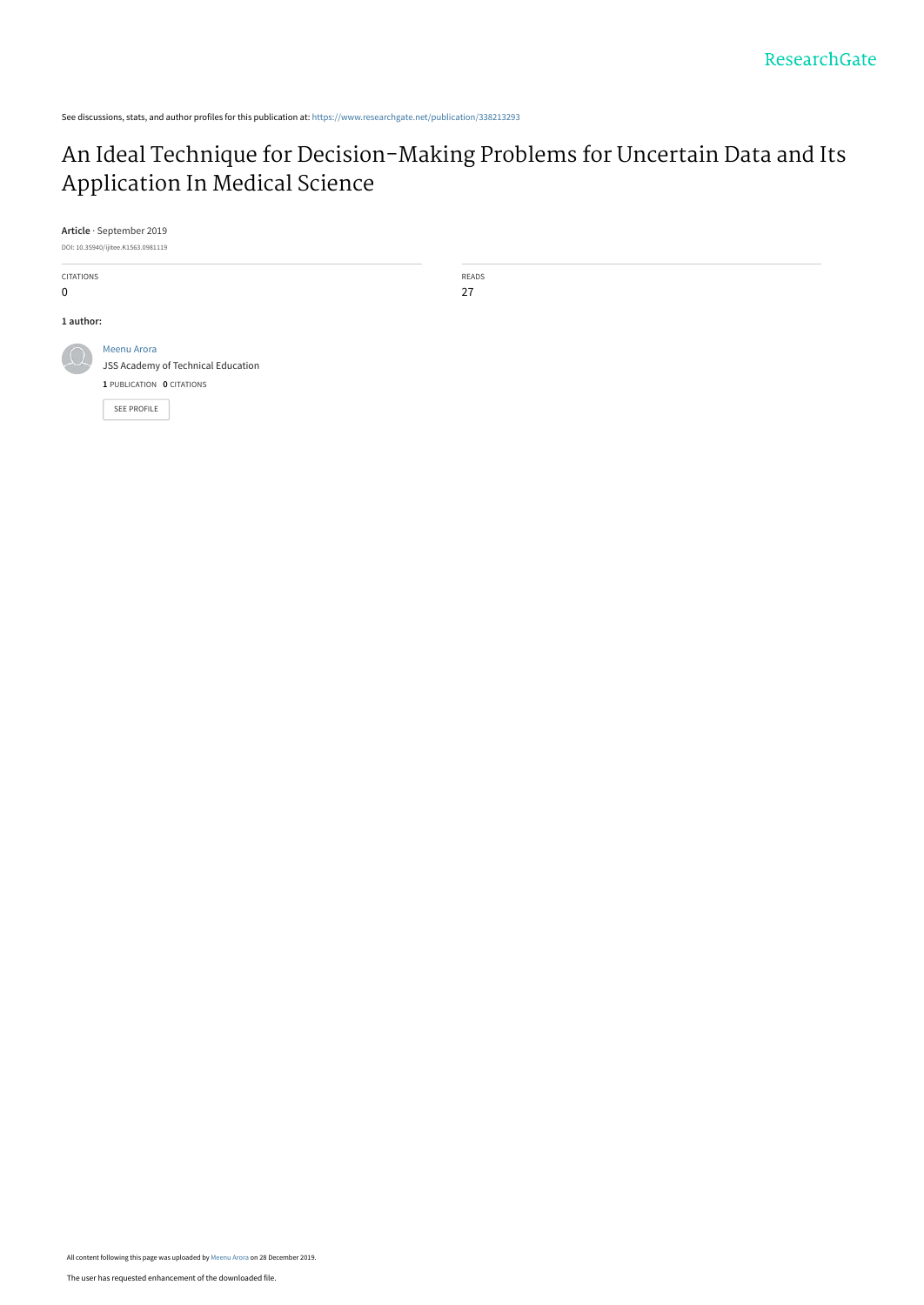See discussions, stats, and author profiles for this publication at: [https://www.researchgate.net/publication/338213293](https://www.researchgate.net/publication/338213293_An_Ideal_Technique_for_Decision-Making_Problems_for_Uncertain_Data_and_Its_Application_In_Medical_Science?enrichId=rgreq-8e54dab9bcfed2ac41ba79ccdd31c426-XXX&enrichSource=Y292ZXJQYWdlOzMzODIxMzI5MztBUzo4NDEwOTMxMDUwNjU5ODRAMTU3NzU0MzYzMTI3MQ%3D%3D&el=1_x_2&_esc=publicationCoverPdf)

# [An Ideal Technique for Decision-Making Problems for Uncertain Data and Its](https://www.researchgate.net/publication/338213293_An_Ideal_Technique_for_Decision-Making_Problems_for_Uncertain_Data_and_Its_Application_In_Medical_Science?enrichId=rgreq-8e54dab9bcfed2ac41ba79ccdd31c426-XXX&enrichSource=Y292ZXJQYWdlOzMzODIxMzI5MztBUzo4NDEwOTMxMDUwNjU5ODRAMTU3NzU0MzYzMTI3MQ%3D%3D&el=1_x_3&_esc=publicationCoverPdf) Application In Medical Science

**Article** · September 2019

DOI: 10.35940/ijitee.K1563.0981119



READS

27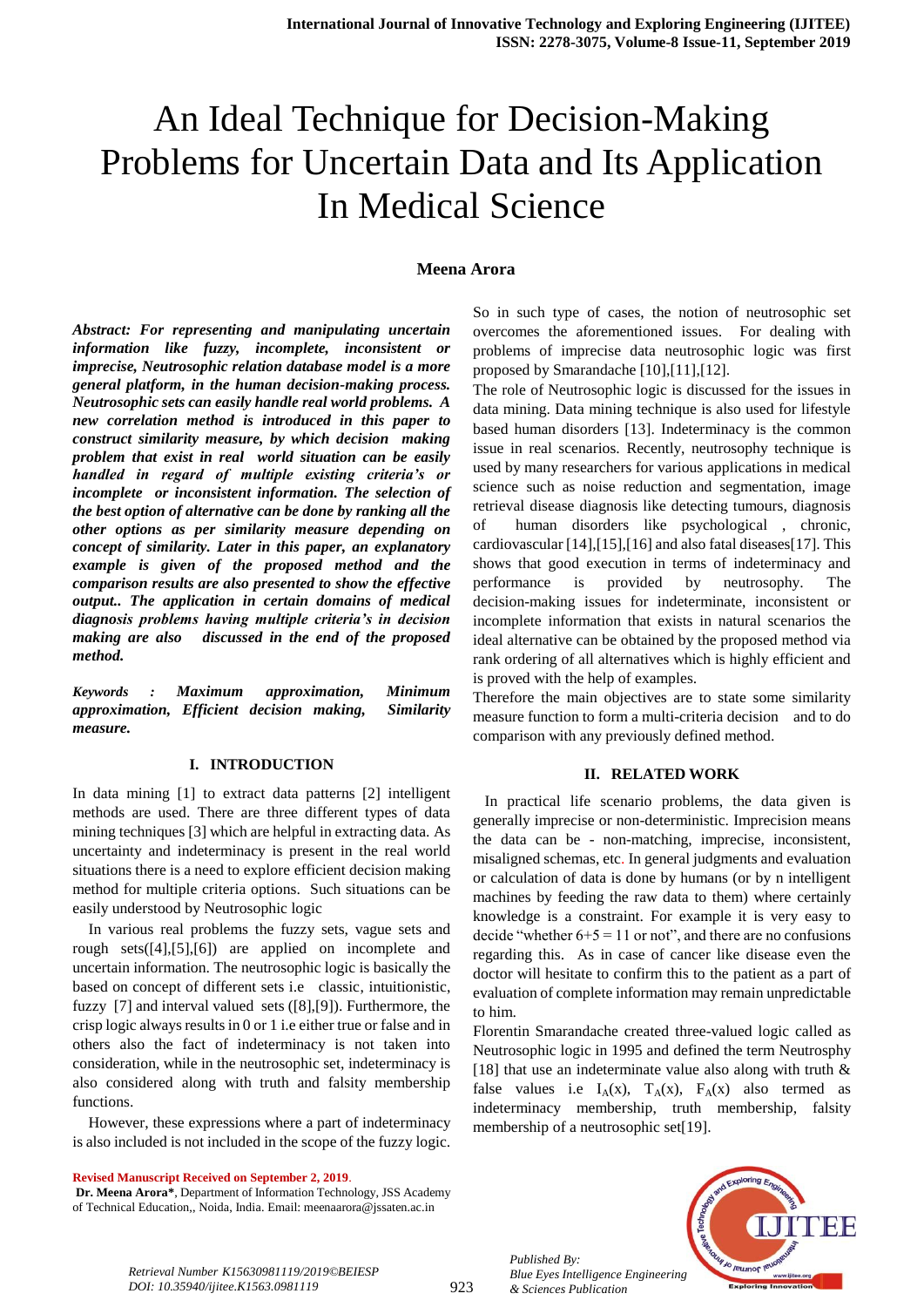# An Ideal Technique for Decision-Making Problems for Uncertain Data and Its Application In Medical Science

#### **Meena Arora**

*Abstract: For representing and manipulating uncertain information like fuzzy, incomplete, inconsistent or imprecise, Neutrosophic relation database model is a more general platform, in the human decision-making process. Neutrosophic sets can easily handle real world problems. A new correlation method is introduced in this paper to construct similarity measure, by which decision making problem that exist in real world situation can be easily handled in regard of multiple existing criteria's or incomplete or inconsistent information. The selection of the best option of alternative can be done by ranking all the other options as per similarity measure depending on concept of similarity. Later in this paper, an explanatory example is given of the proposed method and the comparison results are also presented to show the effective output.. The application in certain domains of medical diagnosis problems having multiple criteria's in decision making are also discussed in the end of the proposed method.*

*Keywords : Maximum approximation, Minimum approximation, Efficient decision making, Similarity measure.*

#### **I. INTRODUCTION**

In data mining [1] to extract data patterns [2] intelligent methods are used. There are three different types of data mining techniques [3] which are helpful in extracting data. As uncertainty and indeterminacy is present in the real world situations there is a need to explore efficient decision making method for multiple criteria options. Such situations can be easily understood by Neutrosophic logic

In various real problems the fuzzy sets, vague sets and rough sets([4],[5],[6]) are applied on incomplete and uncertain information. The neutrosophic logic is basically the based on concept of different sets i.e classic, intuitionistic, fuzzy [7] and interval valued sets ([8],[9]). Furthermore, the crisp logic always results in 0 or 1 i.e either true or false and in others also the fact of indeterminacy is not taken into consideration, while in the neutrosophic set, indeterminacy is also considered along with truth and falsity membership functions.

However, these expressions where a part of indeterminacy is also included is not included in the scope of the fuzzy logic.

**Revised Manuscript Received on September 2, 2019**.

**Dr. Meena Arora\***, Department of Information Technology, JSS Academy of Technical Education,, Noida, India. Email: meenaarora@jssaten.ac.in

So in such type of cases, the notion of neutrosophic set overcomes the aforementioned issues. For dealing with problems of imprecise data neutrosophic logic was first proposed by Smarandache [10],[11],[12].

The role of Neutrosophic logic is discussed for the issues in data mining. Data mining technique is also used for lifestyle based human disorders [13]. Indeterminacy is the common issue in real scenarios. Recently, neutrosophy technique is used by many researchers for various applications in medical science such as noise reduction and segmentation, image retrieval disease diagnosis like detecting tumours, diagnosis of human disorders like psychological , chronic, cardiovascular [14],[15],[16] and also fatal diseases[17]. This shows that good execution in terms of indeterminacy and performance is provided by neutrosophy. The decision-making issues for indeterminate, inconsistent or incomplete information that exists in natural scenarios the ideal alternative can be obtained by the proposed method via rank ordering of all alternatives which is highly efficient and is proved with the help of examples.

Therefore the main objectives are to state some similarity measure function to form a multi-criteria decision and to do comparison with any previously defined method.

#### **II. RELATED WORK**

 In practical life scenario problems, the data given is generally imprecise or non-deterministic. Imprecision means the data can be - non-matching, imprecise, inconsistent, misaligned schemas, etc. In general judgments and evaluation or calculation of data is done by humans (or by n intelligent machines by feeding the raw data to them) where certainly knowledge is a constraint. For example it is very easy to decide "whether  $6+5 = 11$  or not", and there are no confusions regarding this. As in case of cancer like disease even the doctor will hesitate to confirm this to the patient as a part of evaluation of complete information may remain unpredictable to him.

Florentin Smarandache created three-valued logic called as Neutrosophic logic in 1995 and defined the term Neutrosphy [18] that use an indeterminate value also along with truth & false values i.e  $I_A(x)$ ,  $T_A(x)$ ,  $F_A(x)$  also termed as indeterminacy membership, truth membership, falsity membership of a neutrosophic set[19].



*Retrieval Number K15630981119/2019©BEIESP DOI: 10.35940/ijitee.K1563.0981119*

923

*Published By:*

*& Sciences Publication*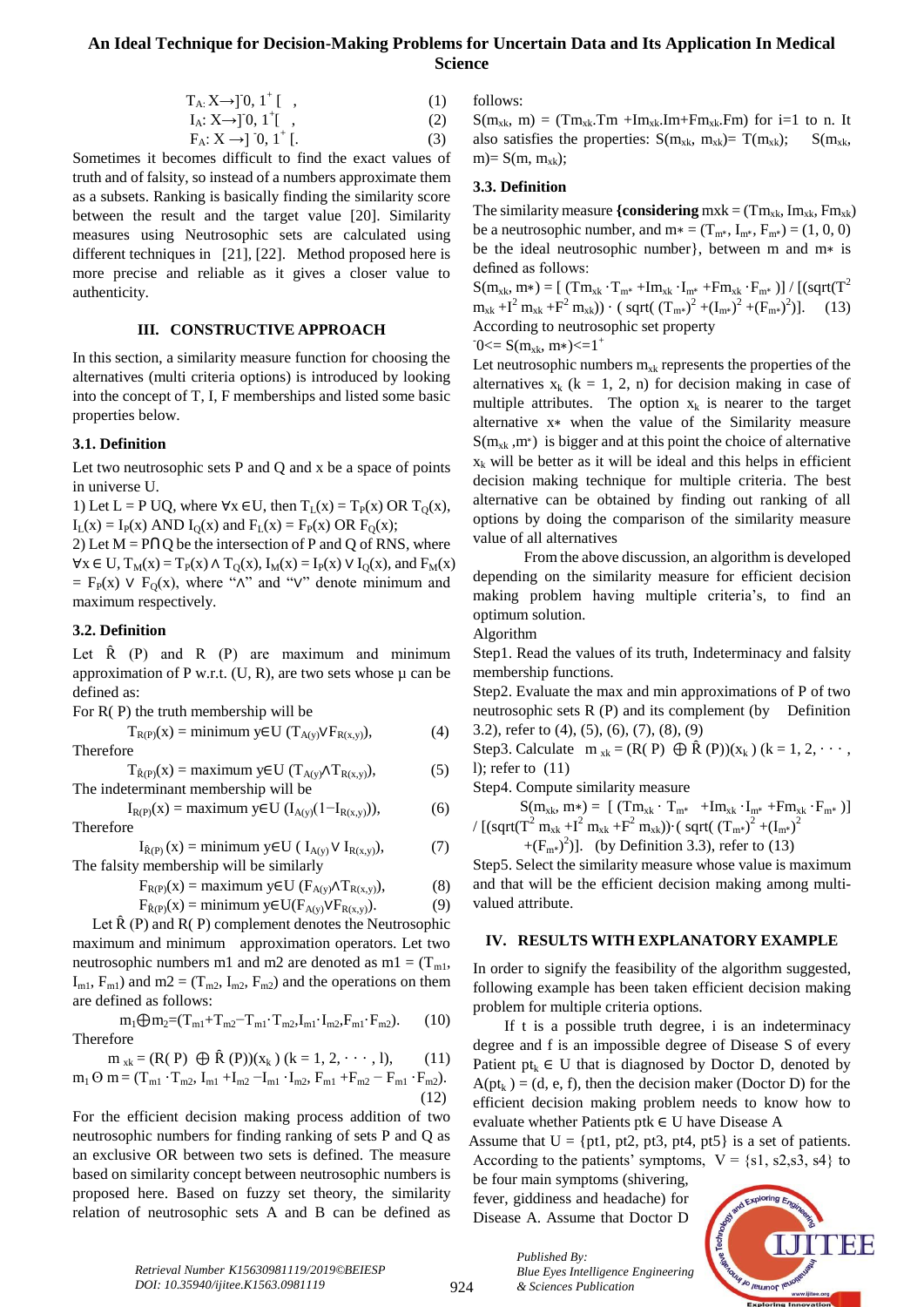# **An Ideal Technique for Decision-Making Problems for Uncertain Data and Its Application In Medical Science**

$$
T_A: X \to ]0, 1^+[ ,
$$
 (1)

$$
I_A: X \rightarrow ]0, 1^+[ ,
$$
  
\n
$$
F_A: X \rightarrow ]0, 1^+[ .
$$
 (2)  
\n(3)

Sometimes it becomes difficult to find the exact values of truth and of falsity, so instead of a numbers approximate them as a subsets. Ranking is basically finding the similarity score between the result and the target value [20]. Similarity measures using Neutrosophic sets are calculated using different techniques in [21], [22]. Method proposed here is more precise and reliable as it gives a closer value to authenticity.

#### **III. CONSTRUCTIVE APPROACH**

In this section, a similarity measure function for choosing the alternatives (multi criteria options) is introduced by looking into the concept of T, I, F memberships and listed some basic properties below.

#### **3.1. Definition**

Let two neutrosophic sets P and Q and x be a space of points in universe U.

1) Let  $L = P UQ$ , where  $\forall x \in U$ , then  $T_L(x) = T_P(x) \text{ OR } T_Q(x)$ ,  $I_L(x) = I_P(x)$  AND  $I_Q(x)$  and  $F_L(x) = F_P(x)$  OR  $F_Q(x)$ ;

2) Let  $M = P \cap Q$  be the intersection of P and Q of RNS, where  $\forall x \in U$ ,  $T_M(x) = T_P(x) \wedge T_Q(x)$ ,  $I_M(x) = I_P(x) \vee I_Q(x)$ , and  $F_M(x)$  $=$  F<sub>p</sub>(x) ∨ F<sub>o</sub>(x), where " $\wedge$ " and "∨" denote minimum and maximum respectively.

### **3.2. Definition**

Let  $\hat{R}$  (P) and  $R$  (P) are maximum and minimum approximation of P w.r.t.  $(U, R)$ , are two sets whose  $\mu$  can be defined as:

For R( P) the truth membership will be

 $T_{R(P)}(x) = \text{minimum } y \in U \left( T_{A(y)} \vee F_{R(x,y)} \right),$  (4) Therefore

$$
T_{\hat{R}(P)}(x) = \text{maximum } y \in U \text{ } (T_{A(y)} \wedge T_{R(x,y)}), \tag{5}
$$
\nThe indeterminant membership will be

 $I_{R(P)}(x) =$  maximum y∈U ( $I_{A(v)}(1-I_{R(x,v)}),$  (6) Therefore

 $I_{\hat{R}(P)}(x) = \text{minimum} y \in U \ (I_{A(y)} \vee I_{R(x,y)})$ , (7) The falsity membership will be similarly

$$
F_{R(P)}(x) = \text{maximum } y \in U \text{ (}F_{A(y)} \wedge T_{R(x,y)}\text{)},\tag{8}
$$

$$
F_{\hat{R}(P)}(x) = \text{minimum } y \in U(F_{A(y)} \vee F_{R(x,y)}). \tag{9}
$$

Let  $\hat{R}(P)$  and  $R(P)$  complement denotes the Neutrosophic maximum and minimum approximation operators. Let two neutrosophic numbers m1 and m2 are denoted as m1 =  $(T<sub>m1</sub>$ ,  $I_{m1}$ ,  $F_{m1}$ ) and m2 = ( $T_{m2}$ ,  $I_{m2}$ ,  $F_{m2}$ ) and the operations on them are defined as follows:

$$
m_1 \bigoplus m_2 = (T_{m1} + T_{m2} - T_{m1} \cdot T_{m2}, I_{m1} \cdot I_{m2}, F_{m1} \cdot F_{m2}).
$$
 (10) Therefore

$$
m_{xk} = (R(P) \oplus \hat{R}(P))(x_k) (k = 1, 2, \dots, 1),
$$
  
\n
$$
m_1 O m = (T_{m1} \cdot T_{m2}, I_{m1} + I_{m2} - I_{m1} \cdot I_{m2}, F_{m1} + F_{m2} - F_{m1} \cdot F_{m2}).
$$
  
\n(12)

For the efficient decision making process addition of two neutrosophic numbers for finding ranking of sets P and Q as an exclusive OR between two sets is defined. The measure based on similarity concept between neutrosophic numbers is proposed here. Based on fuzzy set theory, the similarity relation of neutrosophic sets A and B can be defined as

follows:

 $S(m_{xk}, m) = (Tm_{xk}.Tm + Im_{xk}.Im + Fm_{xk}.Fm)$  for i=1 to n. It also satisfies the properties:  $S(m_{xk}, m_{xk}) = T(m_{xk}); S(m_{xk}, m_{xk})$  $m= S(m, m_{xk});$ 

## **3.3. Definition**

The similarity measure  ${considering \, mxk = (Tm_{xk}, Im_{xk}, Fm_{xk})}$ be a neutrosophic number, and  $m* = (T_{m*}, I_{m*}, F_{m*}) = (1, 0, 0)$ be the ideal neutrosophic number}, between m and m∗ is defined as follows:

 $S(m_{xk}, m*) = [ (Tm_{xk} \cdot T_{m*} + Im_{xk} \cdot I_{m*} + Fm_{xk} \cdot F_{m*} ) ] / [(sqrt(T^{2} + Tm_{xk}) + Fm_{xk} \cdot F_{m*} )]$  $m_{x} + I^2 m_{x} + F^2 m_{x}) \cdot (sqrt(T_{m*})^2 + (I_{m*})^2 + (F_{m*})^2)$  $(13)$ According to neutrosophic set property

 $-0$  < = S(m<sub>xk</sub>, m\*) < = 1<sup>+</sup>

Let neutrosophic numbers  $m_{x_k}$  represents the properties of the alternatives  $x_k$  (k = 1, 2, n) for decision making in case of multiple attributes. The option  $x_k$  is nearer to the target alternative x∗ when the value of the Similarity measure  $S(m_{xk}, m^*)$  is bigger and at this point the choice of alternative  $x_k$  will be better as it will be ideal and this helps in efficient decision making technique for multiple criteria. The best alternative can be obtained by finding out ranking of all options by doing the comparison of the similarity measure value of all alternatives

 From the above discussion, an algorithm is developed depending on the similarity measure for efficient decision making problem having multiple criteria's, to find an optimum solution.

#### Algorithm

Step1. Read the values of its truth, Indeterminacy and falsity membership functions.

Step2. Evaluate the max and min approximations of P of two neutrosophic sets R (P) and its complement (by Definition 3.2), refer to (4), (5), (6), (7), (8), (9)

Step3. Calculate  $m_{x_k} = (R(P) \oplus \widehat{R}(P))(x_k)$  (k = 1, 2, · · · , l); refer to (11)

Step4. Compute similarity measure

 $S(m_{xk}, m*) = [\ (Tm_{xk} \cdot T_{m*} + Im_{xk} \cdot I_{m*} + Fm_{xk} \cdot F_{m*})]$ / [(sqrt(T<sup>2</sup> m<sub>xk</sub> +I<sup>2</sup> m<sub>xk</sub> +F<sup>2</sup> m<sub>xk</sub>))⋅( sqrt( (T<sub>m\*</sub>)<sup>2</sup> +(I<sub>m\*</sub>)<sup>2</sup>

 $+(F<sub>m*</sub>)<sup>2</sup>)$ ]. (by Definition 3.3), refer to (13)

Step5. Select the similarity measure whose value is maximum and that will be the efficient decision making among multivalued attribute.

#### **IV. RESULTS WITH EXPLANATORY EXAMPLE**

In order to signify the feasibility of the algorithm suggested, following example has been taken efficient decision making problem for multiple criteria options.

 If t is a possible truth degree, i is an indeterminacy degree and f is an impossible degree of Disease S of every Patient  $pt_k \in U$  that is diagnosed by Doctor D, denoted by  $A(pt_k) = (d, e, f)$ , then the decision maker (Doctor D) for the efficient decision making problem needs to know how to evaluate whether Patients ptk ∈ U have Disease A

Assume that  $U = \{pt1, pt2, pt3, pt4, pt5\}$  is a set of patients. According to the patients' symptoms,  $V = \{s1, s2, s3, s4\}$  to

be four main symptoms (shivering, fever, giddiness and headache) for Disease A. Assume that Doctor D

*& Sciences Publication* 

*Published By:*



*Retrieval Number K15630981119/2019©BEIESP DOI: 10.35940/ijitee.K1563.0981119*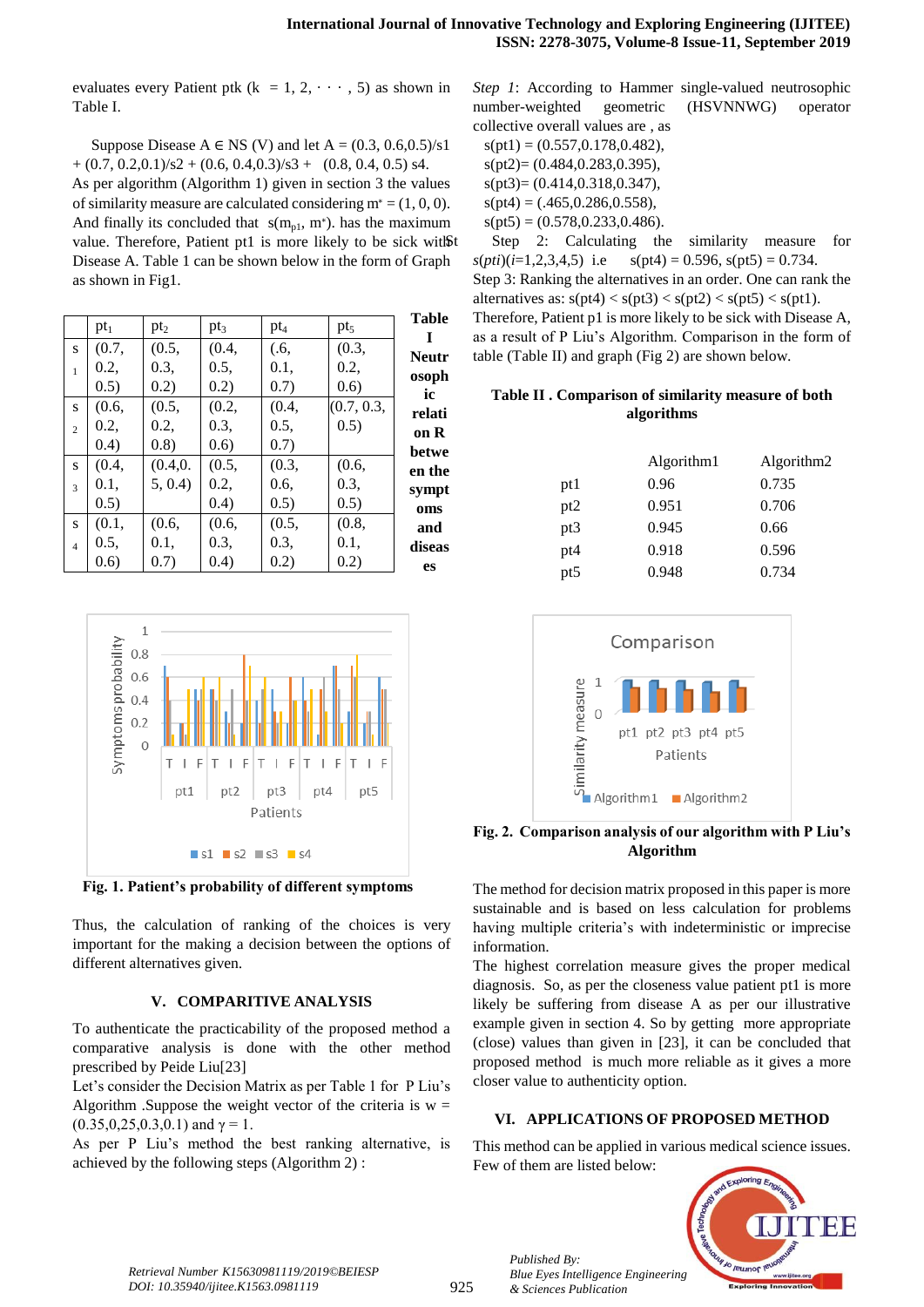evaluates every Patient ptk ( $k = 1, 2, \dots, 5$ ) as shown in Table I.

Suppose Disease  $A \in NS$  (V) and let  $A = (0.3, 0.6, 0.5)/s1$  $+(0.7, 0.2, 0.1)/s2 + (0.6, 0.4, 0.3)/s3 + (0.8, 0.4, 0.5) s4.$  As per algorithm (Algorithm 1) given in section 3 the values of similarity measure are calculated considering  $m^* = (1, 0, 0)$ . And finally its concluded that  $s(m_{p1}, m^*)$ . has the maximum value. Therefore, Patient pt1 is more likely to be sick witßt Disease A. Table 1 can be shown below in the form of Graph as shown in Fig1.

| <b>Table</b> |            |        |         |         |        |                |
|--------------|------------|--------|---------|---------|--------|----------------|
| I            | $\rm pt_5$ | $pt_4$ | $pt_3$  | $pt_2$  | $pt_1$ |                |
| <b>Neutr</b> | (0.3,      | (.6,   | (0.4,   | (0.5,   | (0.7,  | S              |
| osoph        | 0.2,       | 0.1,   | 0.5,    | 0.3,    | 0.2,   | $\mathbf{1}$   |
| ic           | (0.6)      | (0.7)  | (0.2)   | (0.2)   | (0.5)  |                |
| relati       | (0.7, 0.3, | (0.4,  | (0.2,   | (0.5,   | (0.6,  | S              |
| on R         | (0.5)      | 0.5,   | 0.3,    | 0.2,    | 0.2,   | $\overline{c}$ |
| betwe        |            | (0.7)  | (0.6)   | (0.8)   | (0.4)  |                |
| en the       | (0.6,      | (0.3,  | (0.5,   | (0.4.0. | (0.4,  | S              |
| sympt        | 0.3.       | 0.6,   | 0.2,    | 5, 0.4  | 0.1.   | $\mathbf{3}$   |
| oms          | 0.5)       | 0.5)   | (0.4)   |         | (0.5)  |                |
| and          | (0.8,      | (0.5,  | (0.6, ) | (0.6,   | (0.1,  | S              |
| diseas       | 0.1.       | 0.3,   | 0.3,    | 0.1.    | 0.5,   | $\overline{4}$ |
| es           | 0.2)       | 0.2)   | (0.4)   | (0.7)   | (0.6)  |                |



**Fig. 1. Patient's probability of different symptoms**

Thus, the calculation of ranking of the choices is very important for the making a decision between the options of different alternatives given.

#### **V. COMPARITIVE ANALYSIS**

To authenticate the practicability of the proposed method a comparative analysis is done with the other method prescribed by Peide Liu[23]

Let's consider the Decision Matrix as per Table 1 for P Liu's Algorithm .Suppose the weight vector of the criteria is  $w =$ (0.35,0,25,0.3,0.1) and  $\gamma = 1$ .

As per P Liu's method the best ranking alternative, is achieved by the following steps (Algorithm 2) :

*Step 1*: According to Hammer single-valued neutrosophic number-weighted geometric (HSVNNWG) operator collective overall values are , as  $s(pt1) = (0.557, 0.178, 0.482),$ 

 $s(pt2)=(0.484, 0.283, 0.395),$  s(pt3)= (0.414,0.318,0.347),  $s(pt4) = (.465, 0.286, 0.558),$  $s(pt5) = (0.578, 0.233, 0.486).$ 

Step 2: Calculating the similarity measure for  $s(pti)(i=1,2,3,4,5)$  i.e  $s(pt4) = 0.596$ ,  $s(pt5) = 0.734$ . Step 3: Ranking the alternatives in an order. One can rank the alternatives as:  $s(pt4) < s(pt3) < s(pt2) < s(pt5) < s(pt1)$ . Therefore, Patient p1 is more likely to be sick with Disease A, as a result of P Liu's Algorithm. Comparison in the form of table (Table II) and graph (Fig 2) are shown below.

# **Table II . Comparison of similarity measure of both algorithms**

|                 | Algorithm1 | Algorithm2 |
|-----------------|------------|------------|
| pt1             | 0.96       | 0.735      |
| pt <sub>2</sub> | 0.951      | 0.706      |
| pt3             | 0.945      | 0.66       |
| pt4             | 0.918      | 0.596      |
| pt5             | 0.948      | 0.734      |



**Fig. 2. Comparison analysis of our algorithm with P Liu's Algorithm**

The method for decision matrix proposed in this paper is more sustainable and is based on less calculation for problems having multiple criteria's with indeterministic or imprecise information.

The highest correlation measure gives the proper medical diagnosis. So, as per the closeness value patient pt1 is more likely be suffering from disease A as per our illustrative example given in section 4. So by getting more appropriate (close) values than given in [23], it can be concluded that proposed method is much more reliable as it gives a more closer value to authenticity option.

# **VI. APPLICATIONS OF PROPOSED METHOD**

This method can be applied in various medical science issues. Few of them are listed below:



*Retrieval Number K15630981119/2019©BEIESP DOI: 10.35940/ijitee.K1563.0981119*

925

*Published By: Blue Eyes Intelligence Engineering & Sciences Publication*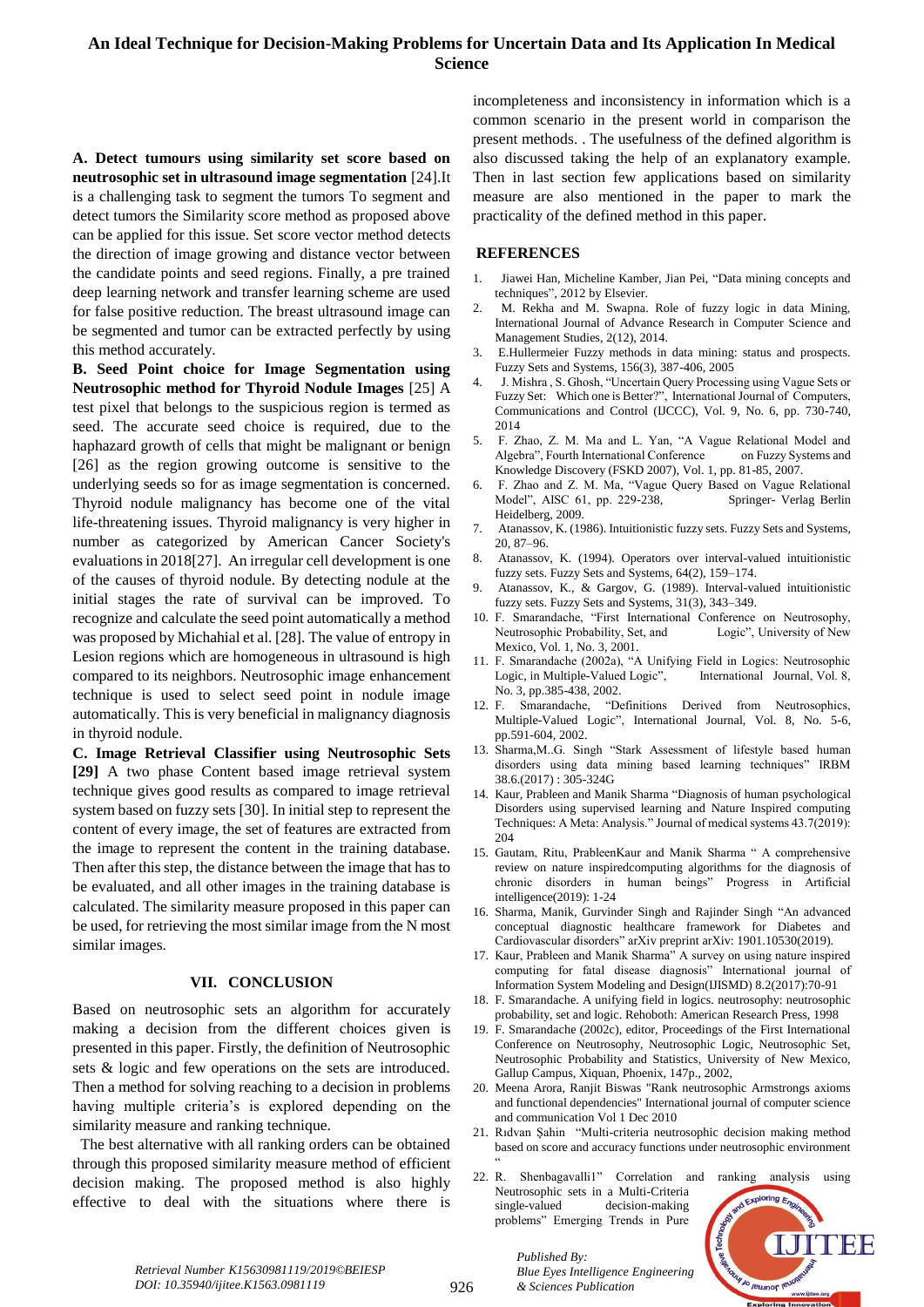# **An Ideal Technique for Decision-Making Problems for Uncertain Data and Its Application In Medical Science**

**A. Detect tumours using similarity set score based on neutrosophic set in ultrasound image segmentation** [24].It is a challenging task to segment the tumors To segment and detect tumors the Similarity score method as proposed above can be applied for this issue. Set score vector method detects the direction of image growing and distance vector between the candidate points and seed regions. Finally, a pre trained deep learning network and transfer learning scheme are used for false positive reduction. The breast ultrasound image can be segmented and tumor can be extracted perfectly by using this method accurately.

**B. Seed Point choice for Image Segmentation using Neutrosophic method for Thyroid Nodule Images** [25] A test pixel that belongs to the suspicious region is termed as seed. The accurate seed choice is required, due to the haphazard growth of cells that might be malignant or benign [26] as the region growing outcome is sensitive to the underlying seeds so for as image segmentation is concerned. Thyroid nodule malignancy has become one of the vital life-threatening issues. Thyroid malignancy is very higher in number as categorized by American Cancer Society's evaluations in 2018[27]. An irregular cell development is one of the causes of thyroid nodule. By detecting nodule at the initial stages the rate of survival can be improved. To recognize and calculate the seed point automatically a method was proposed by Michahial et al. [28]. The value of entropy in Lesion regions which are homogeneous in ultrasound is high compared to its neighbors. Neutrosophic image enhancement technique is used to select seed point in nodule image automatically. This is very beneficial in malignancy diagnosis in thyroid nodule.

**C. Image Retrieval Classifier using Neutrosophic Sets [29]** A two phase Content based image retrieval system technique gives good results as compared to image retrieval system based on fuzzy sets [30]. In initial step to represent the content of every image, the set of features are extracted from the image to represent the content in the training database. Then after this step, the distance between the image that has to be evaluated, and all other images in the training database is calculated. The similarity measure proposed in this paper can be used, for retrieving the most similar image from the N most similar images.

#### **VII. CONCLUSION**

Based on neutrosophic sets an algorithm for accurately making a decision from the different choices given is presented in this paper. Firstly, the definition of Neutrosophic sets & logic and few operations on the sets are introduced. Then a method for solving reaching to a decision in problems having multiple criteria's is explored depending on the similarity measure and ranking technique.

 The best alternative with all ranking orders can be obtained through this proposed similarity measure method of efficient decision making. The proposed method is also highly effective to deal with the situations where there is incompleteness and inconsistency in information which is a common scenario in the present world in comparison the present methods. . The usefulness of the defined algorithm is also discussed taking the help of an explanatory example. Then in last section few applications based on similarity measure are also mentioned in the paper to mark the practicality of the defined method in this paper.

#### **REFERENCES**

- 1. Jiawei Han, Micheline Kamber, Jian Pei, "Data mining concepts and techniques", 2012 by Elsevier.
- 2. M. Rekha and M. Swapna. Role of fuzzy logic in data Mining, International Journal of Advance Research in Computer Science and Management Studies, 2(12), 2014.
- 3. E.Hullermeier Fuzzy methods in data mining: status and prospects. Fuzzy Sets and Systems, 156(3), 387-406, 2005
- 4. J. Mishra , S. Ghosh, "Uncertain Query Processing using Vague Sets or Fuzzy Set: Which one is Better?", International Journal of Computers, Communications and Control (IJCCC), Vol. 9, No. 6, pp. 730-740, 2014
- 5. F. Zhao, Z. M. Ma and L. Yan, "A Vague Relational Model and Algebra", Fourth International Conference on Fuzzy Systems and Knowledge Discovery (FSKD 2007), Vol. 1, pp. 81-85, 2007.
- 6. F. Zhao and Z. M. Ma, "Vague Query Based on Vague Relational Model", AISC 61, pp. 229-238, Springer- Verlag Berlin Heidelberg, 2009.
- 7. Atanassov, K. (1986). Intuitionistic fuzzy sets. Fuzzy Sets and Systems, 20, 87–96.
- 8. Atanassov, K. (1994). Operators over interval-valued intuitionistic fuzzy sets. Fuzzy Sets and Systems, 64(2), 159–174.
- 9. Atanassov, K., & Gargov, G. (1989). Interval-valued intuitionistic fuzzy sets. Fuzzy Sets and Systems, 31(3), 343–349.
- 10. F. Smarandache, "First International Conference on Neutrosophy, Neutrosophic Probability, Set, and Logic", University of New Mexico, Vol. 1, No. 3, 2001.
- 11. F. Smarandache (2002a), "A Unifying Field in Logics: Neutrosophic Logic, in Multiple-Valued Logic", International Journal, Vol. 8, No. 3, pp.385-438, 2002.
- 12. F. Smarandache, "Definitions Derived from Neutrosophics, Multiple-Valued Logic", International Journal, Vol. 8, No. 5-6, pp.591-604, 2002.
- 13. Sharma,M..G. Singh "Stark Assessment of lifestyle based human disorders using data mining based learning techniques" IRBM 38.6.(2017) : 305-324G
- 14. Kaur, Prableen and Manik Sharma "Diagnosis of human psychological Disorders using supervised learning and Nature Inspired computing Techniques: A Meta: Analysis." Journal of medical systems 43.7(2019): 204
- 15. Gautam, Ritu, PrableenKaur and Manik Sharma " A comprehensive review on nature inspiredcomputing algorithms for the diagnosis of chronic disorders in human beings" Progress in Artificial intelligence(2019): 1-24
- 16. Sharma, Manik, Gurvinder Singh and Rajinder Singh "An advanced conceptual diagnostic healthcare framework for Diabetes and Cardiovascular disorders" arXiv preprint arXiv: 1901.10530(2019).
- 17. Kaur, Prableen and Manik Sharma" A survey on using nature inspired computing for fatal disease diagnosis" International journal of Information System Modeling and Design(IJISMD) 8.2(2017):70-91
- 18. F. Smarandache. A unifying field in logics. neutrosophy: neutrosophic probability, set and logic. Rehoboth: American Research Press, 1998
- 19. F. Smarandache (2002c), editor, Proceedings of the First International Conference on Neutrosophy, Neutrosophic Logic, Neutrosophic Set, Neutrosophic Probability and Statistics, University of New Mexico, Gallup Campus, Xiquan, Phoenix, 147p., 2002,
- 20. Meena Arora, Ranjit Biswas "Rank neutrosophic Armstrongs axioms and functional dependencies" International journal of computer science and communication Vol 1 Dec 2010
- 21. Rıdvan Şahin "Multi-criteria neutrosophic decision making method based on score and accuracy functions under neutrosophic environment  $\ddot{\phantom{0}}$
- 22. R. Shenbagavalli1" Correlation and ranking analysis using Neutrosophic sets in a Multi-Criteria single-valued decision-making problems" Emerging Trends in Pure

*Blue Eyes Intelligence Engineering* 

*Published By:*

*& Sciences Publication* 



*Retrieval Number K15630981119/2019©BEIESP DOI: 10.35940/ijitee.K1563.0981119*

926